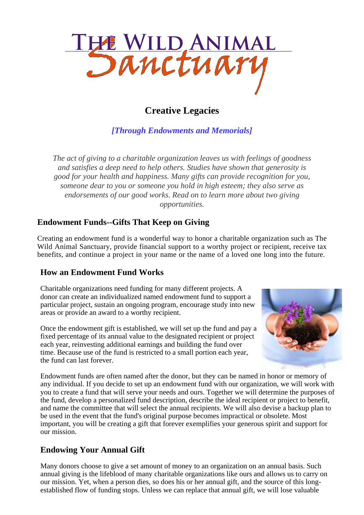

# **Creative Legacies**

*[Through Endowments and Memorials]*

*The act of giving to a charitable organization leaves us with feelings of goodness and satisfies a deep need to help others. Studies have shown that generosity is good for your health and happiness. Many gifts can provide recognition for you, someone dear to you or someone you hold in high esteem; they also serve as endorsements of our good works. Read on to learn more about two giving opportunities.*

### **Endowment Funds--Gifts That Keep on Giving**

Creating an endowment fund is a wonderful way to honor a charitable organization such as The Wild Animal Sanctuary, provide financial support to a worthy project or recipient, receive tax benefits, and continue a project in your name or the name of a loved one long into the future.

### **How an Endowment Fund Works**

Charitable organizations need funding for many different projects. A donor can create an individualized named endowment fund to support a particular project, sustain an ongoing program, encourage study into new areas or provide an award to a worthy recipient.

Once the endowment gift is established, we will set up the fund and pay a fixed percentage of its annual value to the designated recipient or project each year, reinvesting additional earnings and building the fund over time. Because use of the fund is restricted to a small portion each year, the fund can last forever.



Endowment funds are often named after the donor, but they can be named in honor or memory of any individual. If you decide to set up an endowment fund with our organization, we will work with you to create a fund that will serve your needs and ours. Together we will determine the purposes of the fund, develop a personalized fund description, describe the ideal recipient or project to benefit, and name the committee that will select the annual recipients. We will also devise a backup plan to be used in the event that the fund's original purpose becomes impractical or obsolete. Most important, you will be creating a gift that forever exemplifies your generous spirit and support for our mission.

## **Endowing Your Annual Gift**

Many donors choose to give a set amount of money to an organization on an annual basis. Such annual giving is the lifeblood of many charitable organizations like ours and allows us to carry on our mission. Yet, when a person dies, so does his or her annual gift, and the source of this longestablished flow of funding stops. Unless we can replace that annual gift, we will lose valuable